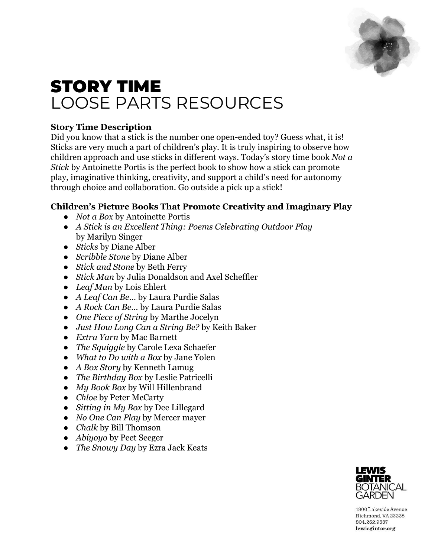

# STORY TIME LOOSE PARTS RESOURCES

# **Story Time Description**

Did you know that a stick is the number one open-ended toy? Guess what, it is! Sticks are very much a part of children's play. It is truly inspiring to observe how children approach and use sticks in different ways. Today's story time book *Not a Stick* by Antoinette Portis is the perfect book to show how a stick can promote play, imaginative thinking, creativity, and support a child's need for autonomy through choice and collaboration. Go outside a pick up a stick!

# **Children's Picture Books That Promote Creativity and Imaginary Play**

- *Not a Box* by Antoinette Portis
- *A Stick is an Excellent Thing: Poems Celebrating Outdoor Play* by Marilyn Singer
- *Sticks* by Diane Alber
- *Scribble Stone* by Diane Alber
- *Stick and Stone* by Beth Ferry
- *Stick Man* by Julia Donaldson and Axel Scheffler
- *Leaf Man* by Lois Ehlert
- *A Leaf Can Be…* by Laura Purdie Salas
- *A Rock Can Be…* by Laura Purdie Salas
- *One Piece of String* by Marthe Jocelyn
- *Just How Long Can a String Be?* by Keith Baker
- *Extra Yarn* by Mac Barnett
- *The Squiggle* by Carole Lexa Schaefer
- *What to Do with a Box* by Jane Yolen
- *A Box Story* by Kenneth Lamug
- *The Birthday Box* by Leslie Patricelli
- *My Book Box* by Will Hillenbrand
- *Chloe* by Peter McCarty
- *Sitting in My Box* by Dee Lillegard
- *No One Can Play* by Mercer mayer
- *Chalk* by Bill Thomson
- *Abiyoyo* by Peet Seeger
- *The Snowy Day* by Ezra Jack Keats



1800 Lakeside Avenue Richmond, VA 23228 804.262.9887 lewisginter.org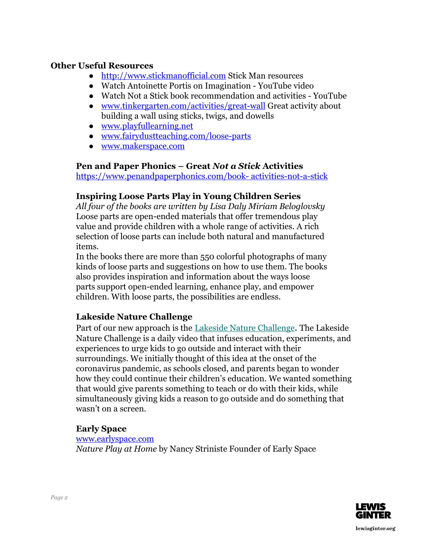#### **Other Useful Resources**

- [http://www.stickmanofficial.com](http://www.stickmanofficial.com/) Stick Man resources
- Watch Antoinette Portis on Imagination YouTube video
- Watch Not a Stick book recommendation and activities YouTube
- [www.tinkergarten.com/activities/great-wall](http://www.tinkergarten.com/activities/great-wall) Great activity about building a wall using sticks, twigs, and dowells
- [www.playfullearning.net](http://www.playfullearning.net/)
- [www.fairydustteaching.com/loose-parts](http://www.fairydustteaching.com/loose-parts)
- [www.makerspace.com](http://www.makerspace.com/)

#### **Pen and Paper Phonics – Great** *Not a Stick* **Activities**

https://www.penandpaperphonics.com/book- activities-not-a-stick

#### **Inspiring Loose Parts Play in Young Children Series**

*All four of the books are written by Lisa Daly Miriam Beloglovsky* Loose parts are open-ended materials that offer tremendous play value and provide children with a whole range of activities. A rich selection of loose parts can include both natural and manufactured items.

In the books there are more than 550 colorful photographs of many kinds of loose parts and suggestions on how to use them. The books also provides inspiration and information about the ways loose parts support open-ended learning, enhance play, and empower children. With loose parts, the possibilities are endless.

## **Lakeside Nature Challenge**

Part of our new approach is the [Lakeside Nature Challenge](https://www.facebook.com/pg/LakesideLab). The Lakeside Nature Challenge is a daily video that infuses education, experiments, and experiences to urge kids to go outside and interact with their surroundings. We initially thought of this idea at the onset of the coronavirus pandemic, as schools closed, and parents began to wonder how they could continue their children's education. We wanted something that would give parents something to teach or do with their kids, while simultaneously giving kids a reason to go outside and do something that wasn't on a screen.

## **Early Space**

[www.earlyspace.com](http://www.earlyspace.com/) *Nature Play at Home* by Nancy Striniste Founder of Early Space